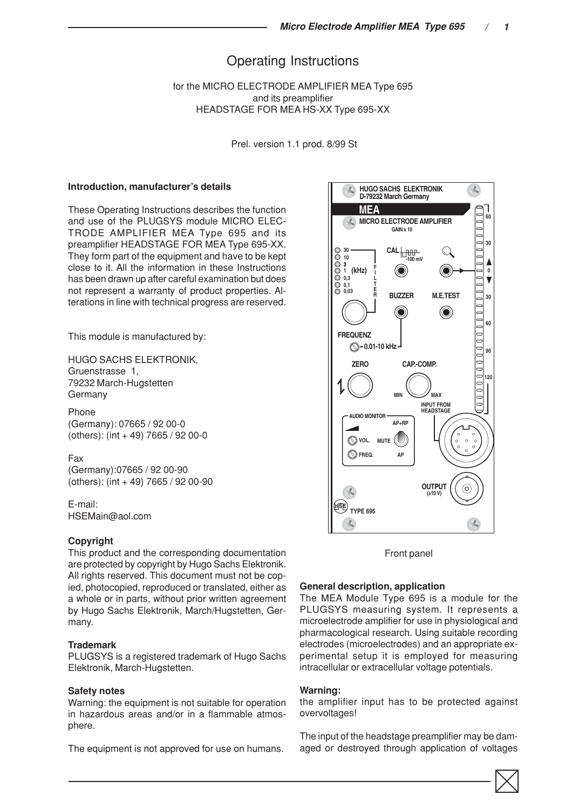# Operating Instructions

for the MICRO ELECTRODE AMPLIFIER MEA Type 695 and its preamplifier HEADSTAGE FOR MEA HS-XX Type 695-XX

Prel. version 1.1 prod. 8/99 St

#### **Introduction, manufacturer's details**

These Operating Instructions describes the function and use of the PLUGSYS module MICRO ELEC-TRODE AMPLIFIER MEA Type 695 and its preamplifier HEADSTAGE FOR MEA Type 695-XX. They form part of the equipment and have to be kept close to it. All the information in these Instructions has been drawn up after careful examination but does not represent a warranty of product properties. Alterations in line with technical progress are reserved.

This module is manufactured by:

HUGO SACHS ELEKTRONIK, Gruenstrasse 1, 79232 March-Hugstetten Germany

Phone (Germany): 07665 / 92 00-0 (others): (int + 49) 7665 / 92 00-0

Fax (Germany):07665 / 92 00-90 (others): (int + 49) 7665 / 92 00-90

E-mail: HSEMain@aol.com

### **Copyright**

This product and the corresponding documentation are protected by copyright by Hugo Sachs Elektronik. All rights reserved. This document must not be copied, photocopied, reproduced or translated, either as a whole or in parts, without prior written agreement by Hugo Sachs Elektronik, March/Hugstetten, Germany.

#### **Trademark**

PLUGSYS is a registered trademark of Hugo Sachs Elektronik, March-Hugstetten.

### **Safety notes**

Warning: the equipment is not suitable for operation in hazardous areas and/or in a flammable atmosphere.

The equipment is not approved for use on humans.



Front panel

## **General description, application**

The MEA Module Type 695 is a module for the PLUGSYS measuring system. It represents a microelectrode amplifier for use in physiological and pharmacological research. Using suitable recording electrodes (microelectrodes) and an appropriate experimental setup it is employed for measuring intracellular or extracellular voltage potentials.

#### **Warning:**

the amplifier input has to be protected against overvoltages!

The input of the headstage preamplifier may be damaged or destroyed through application of voltages

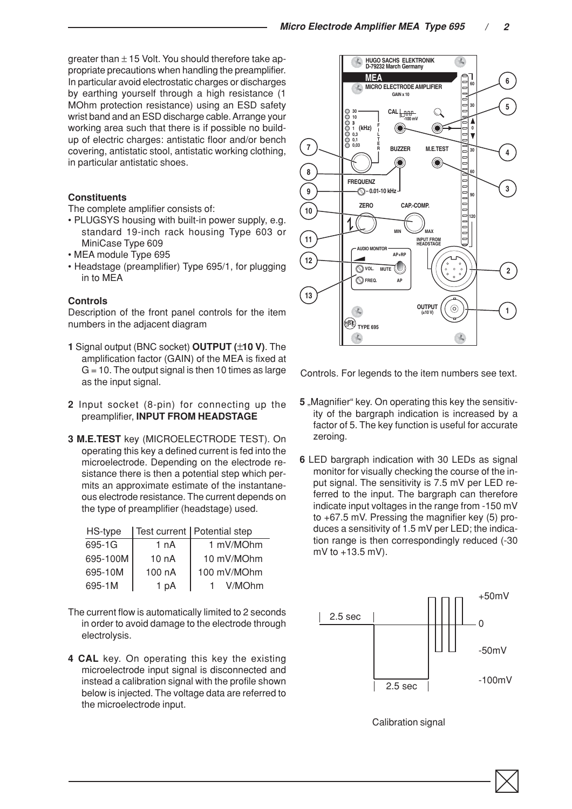greater than  $\pm$  15 Volt. You should therefore take appropriate precautions when handling the preamplifier. In particular avoid electrostatic charges or discharges by earthing yourself through a high resistance (1 MOhm protection resistance) using an ESD safety wrist band and an ESD discharge cable. Arrange your working area such that there is if possible no buildup of electric charges: antistatic floor and/or bench covering, antistatic stool, antistatic working clothing, in particular antistatic shoes.

### **Constituents**

The complete amplifier consists of:

- PLUGSYS housing with built-in power supply, e.g. standard 19-inch rack housing Type 603 or MiniCase Type 609
- MEA module Type 695
- Headstage (preamplifier) Type 695/1, for plugging in to MEA

### **Controls**

Description of the front panel controls for the item numbers in the adjacent diagram

- **1** Signal output (BNC socket) **OUTPUT (**±**10 V)**. The amplification factor (GAIN) of the MEA is fixed at  $G = 10$ . The output signal is then 10 times as large as the input signal.
- **2** Input socket (8-pin) for connecting up the preamplifier, **INPUT FROM HEADSTAGE**
- **3 M.E.TEST** key (MICROELECTRODE TEST). On operating this key a defined current is fed into the microelectrode. Depending on the electrode resistance there is then a potential step which permits an approximate estimate of the instantaneous electrode resistance. The current depends on the type of preamplifier (headstage) used.

| HS-type  |        | Test current   Potential step |
|----------|--------|-------------------------------|
| 695-1G   | 1 nA   | 1 mV/MOhm                     |
| 695-100M | 10 nA  | 10 mV/MOhm                    |
| 695-10M  | 100 nA | 100 mV/MOhm                   |
| 695-1M   | 1 pA   | V/MOhm                        |

- The current flow is automatically limited to 2 seconds in order to avoid damage to the electrode through electrolysis.
- **4 CAL** key. On operating this key the existing microelectrode input signal is disconnected and instead a calibration signal with the profile shown below is injected. The voltage data are referred to the microelectrode input.



Controls. For legends to the item numbers see text.

- **5** "Magnifier" key. On operating this key the sensitivity of the bargraph indication is increased by a factor of 5. The key function is useful for accurate zeroing.
- **6** LED bargraph indication with 30 LEDs as signal monitor for visually checking the course of the input signal. The sensitivity is 7.5 mV per LED referred to the input. The bargraph can therefore indicate input voltages in the range from -150 mV to +67.5 mV. Pressing the magnifier key (5) produces a sensitivity of 1.5 mV per LED; the indication range is then correspondingly reduced (-30 mV to +13.5 mV).



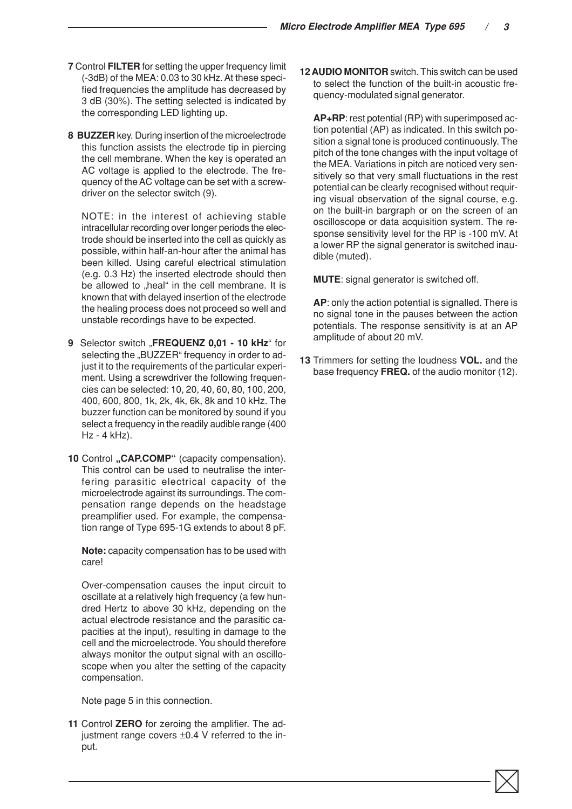- **7** Control **FILTER** for setting the upper frequency limit (-3dB) of the MEA: 0.03 to 30 kHz. At these specified frequencies the amplitude has decreased by 3 dB (30%). The setting selected is indicated by the corresponding LED lighting up.
- **8 BUZZER** key. During insertion of the microelectrode this function assists the electrode tip in piercing the cell membrane. When the key is operated an AC voltage is applied to the electrode. The frequency of the AC voltage can be set with a screwdriver on the selector switch (9).

NOTE: in the interest of achieving stable intracellular recording over longer periods the electrode should be inserted into the cell as quickly as possible, within half-an-hour after the animal has been killed. Using careful electrical stimulation (e.g. 0.3 Hz) the inserted electrode should then be allowed to "heal" in the cell membrane. It is known that with delayed insertion of the electrode the healing process does not proceed so well and unstable recordings have to be expected.

- 9 Selector switch "FREQUENZ 0,01 10 kHz" for selecting the "BUZZER" frequency in order to adjust it to the requirements of the particular experiment. Using a screwdriver the following frequencies can be selected: 10, 20, 40, 60, 80, 100, 200, 400, 600, 800, 1k, 2k, 4k, 6k, 8k and 10 kHz. The buzzer function can be monitored by sound if you select a frequency in the readily audible range (400 Hz - 4 kHz).
- 10 Control "CAP.COMP" (capacity compensation). This control can be used to neutralise the interfering parasitic electrical capacity of the microelectrode against its surroundings. The compensation range depends on the headstage preamplifier used. For example, the compensation range of Type 695-1G extends to about 8 pF.

**Note:** capacity compensation has to be used with care!

Over-compensation causes the input circuit to oscillate at a relatively high frequency (a few hundred Hertz to above 30 kHz, depending on the actual electrode resistance and the parasitic capacities at the input), resulting in damage to the cell and the microelectrode. You should therefore always monitor the output signal with an oscilloscope when you alter the setting of the capacity compensation.

Note page 5 in this connection.

**11** Control **ZERO** for zeroing the amplifier. The adjustment range covers ±0.4 V referred to the input.

**12 AUDIO MONITOR** switch. This switch can be used to select the function of the built-in acoustic frequency-modulated signal generator.

**AP+RP**: rest potential (RP) with superimposed action potential (AP) as indicated. In this switch position a signal tone is produced continuously. The pitch of the tone changes with the input voltage of the MEA. Variations in pitch are noticed very sensitively so that very small fluctuations in the rest potential can be clearly recognised without requiring visual observation of the signal course, e.g. on the built-in bargraph or on the screen of an oscilloscope or data acquisition system. The response sensitivity level for the RP is -100 mV. At a lower RP the signal generator is switched inaudible (muted).

**MUTE**: signal generator is switched off.

**AP**: only the action potential is signalled. There is no signal tone in the pauses between the action potentials. The response sensitivity is at an AP amplitude of about 20 mV.

**13** Trimmers for setting the loudness **VOL.** and the base frequency **FREQ.** of the audio monitor (12).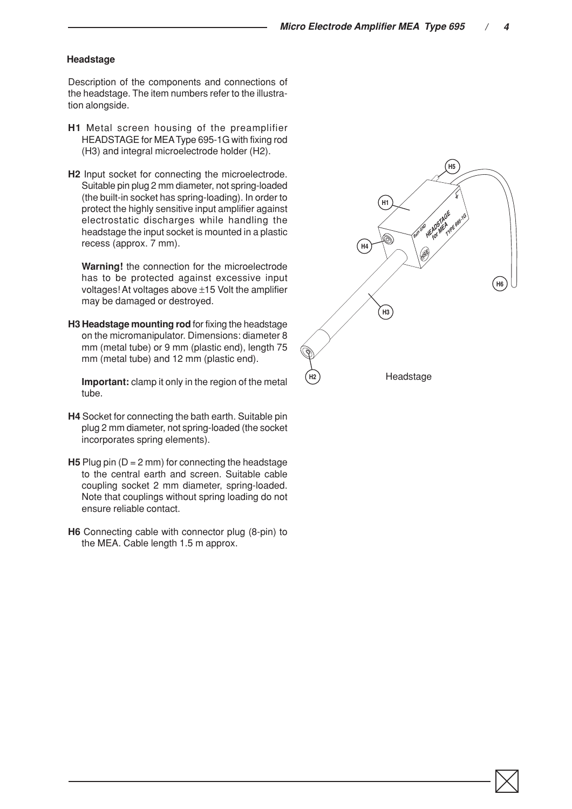### **Headstage**

Description of the components and connections of the headstage. The item numbers refer to the illustration alongside.

- **H1** Metal screen housing of the preamplifier HEADSTAGE for MEA Type 695-1G with fixing rod (H3) and integral microelectrode holder (H2).
- **H2** Input socket for connecting the microelectrode. Suitable pin plug 2 mm diameter, not spring-loaded (the built-in socket has spring-loading). In order to protect the highly sensitive input amplifier against electrostatic discharges while handling the headstage the input socket is mounted in a plastic recess (approx. 7 mm).

**Warning!** the connection for the microelectrode has to be protected against excessive input voltages! At voltages above ±15 Volt the amplifier may be damaged or destroyed.

**H3 Headstage mounting rod** for fixing the headstage on the micromanipulator. Dimensions: diameter 8 mm (metal tube) or 9 mm (plastic end), length 75 mm (metal tube) and 12 mm (plastic end).

**Important:** clamp it only in the region of the metal tube.

- **H4** Socket for connecting the bath earth. Suitable pin plug 2 mm diameter, not spring-loaded (the socket incorporates spring elements).
- **H5** Plug pin (D = 2 mm) for connecting the headstage to the central earth and screen. Suitable cable coupling socket 2 mm diameter, spring-loaded. Note that couplings without spring loading do not ensure reliable contact.
- **H6** Connecting cable with connector plug (8-pin) to the MEA. Cable length 1.5 m approx.

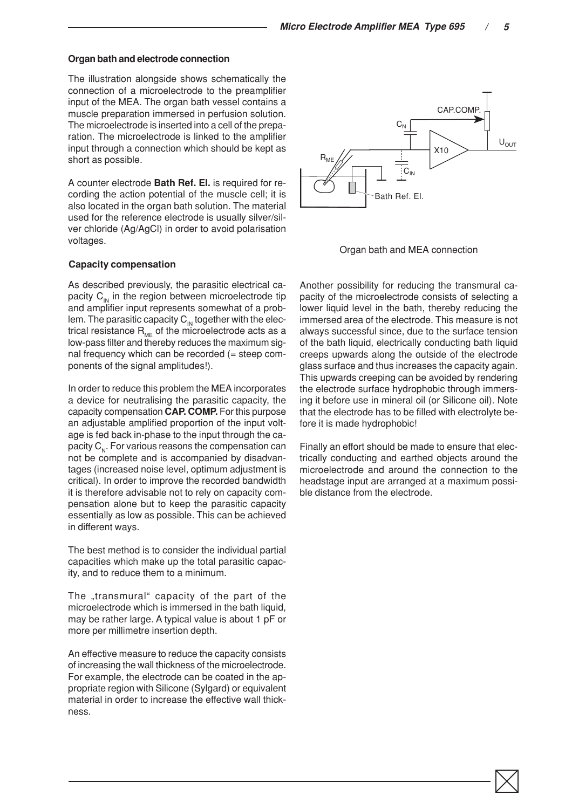### **Organ bath and electrode connection**

The illustration alongside shows schematically the connection of a microelectrode to the preamplifier input of the MEA. The organ bath vessel contains a muscle preparation immersed in perfusion solution. The microelectrode is inserted into a cell of the preparation. The microelectrode is linked to the amplifier input through a connection which should be kept as short as possible.

A counter electrode **Bath Ref. El.** is required for recording the action potential of the muscle cell; it is also located in the organ bath solution. The material used for the reference electrode is usually silver/silver chloride (Ag/AgCl) in order to avoid polarisation voltages.

#### **Capacity compensation**

As described previously, the parasitic electrical capacity  $C_{\text{IN}}$  in the region between microelectrode tip and amplifier input represents somewhat of a problem. The parasitic capacity  $C_{\text{IN}}$  together with the electrical resistance  $R_{MF}$  of the microelectrode acts as a low-pass filter and thereby reduces the maximum signal frequency which can be recorded (= steep components of the signal amplitudes!).

In order to reduce this problem the MEA incorporates a device for neutralising the parasitic capacity, the capacity compensation **CAP. COMP.** For this purpose an adjustable amplified proportion of the input voltage is fed back in-phase to the input through the capacity  $C_{N}$ . For various reasons the compensation can not be complete and is accompanied by disadvantages (increased noise level, optimum adjustment is critical). In order to improve the recorded bandwidth it is therefore advisable not to rely on capacity compensation alone but to keep the parasitic capacity essentially as low as possible. This can be achieved in different ways.

The best method is to consider the individual partial capacities which make up the total parasitic capacity, and to reduce them to a minimum.

The "transmural" capacity of the part of the microelectrode which is immersed in the bath liquid, may be rather large. A typical value is about 1 pF or more per millimetre insertion depth.

An effective measure to reduce the capacity consists of increasing the wall thickness of the microelectrode. For example, the electrode can be coated in the appropriate region with Silicone (Sylgard) or equivalent material in order to increase the effective wall thickness.



Organ bath and MEA connection

Another possibility for reducing the transmural capacity of the microelectrode consists of selecting a lower liquid level in the bath, thereby reducing the immersed area of the electrode. This measure is not always successful since, due to the surface tension of the bath liquid, electrically conducting bath liquid creeps upwards along the outside of the electrode glass surface and thus increases the capacity again. This upwards creeping can be avoided by rendering the electrode surface hydrophobic through immersing it before use in mineral oil (or Silicone oil). Note that the electrode has to be filled with electrolyte before it is made hydrophobic!

Finally an effort should be made to ensure that electrically conducting and earthed objects around the microelectrode and around the connection to the headstage input are arranged at a maximum possible distance from the electrode.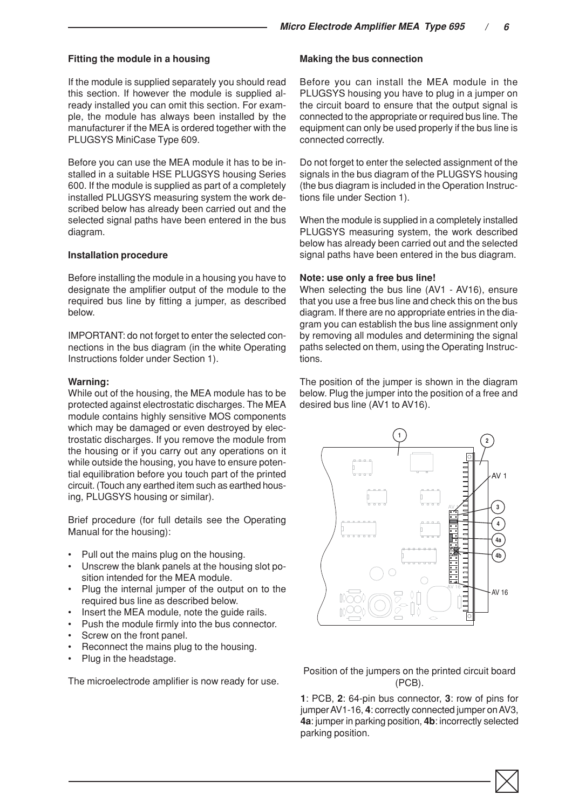### **Fitting the module in a housing**

If the module is supplied separately you should read this section. If however the module is supplied already installed you can omit this section. For example, the module has always been installed by the manufacturer if the MEA is ordered together with the PLUGSYS MiniCase Type 609.

Before you can use the MEA module it has to be installed in a suitable HSE PLUGSYS housing Series 600. If the module is supplied as part of a completely installed PLUGSYS measuring system the work described below has already been carried out and the selected signal paths have been entered in the bus diagram.

#### **Installation procedure**

Before installing the module in a housing you have to designate the amplifier output of the module to the required bus line by fitting a jumper, as described below.

IMPORTANT: do not forget to enter the selected connections in the bus diagram (in the white Operating Instructions folder under Section 1).

#### **Warning:**

While out of the housing, the MEA module has to be protected against electrostatic discharges. The MEA module contains highly sensitive MOS components which may be damaged or even destroyed by electrostatic discharges. If you remove the module from the housing or if you carry out any operations on it while outside the housing, you have to ensure potential equilibration before you touch part of the printed circuit. (Touch any earthed item such as earthed housing, PLUGSYS housing or similar).

Brief procedure (for full details see the Operating Manual for the housing):

- Pull out the mains plug on the housing.
- Unscrew the blank panels at the housing slot position intended for the MEA module.
- Plug the internal jumper of the output on to the required bus line as described below.
- Insert the MEA module, note the guide rails.
- Push the module firmly into the bus connector.
- Screw on the front panel.
- Reconnect the mains plug to the housing.
- Plug in the headstage.

The microelectrode amplifier is now ready for use.

### **Making the bus connection**

Before you can install the MEA module in the PLUGSYS housing you have to plug in a jumper on the circuit board to ensure that the output signal is connected to the appropriate or required bus line. The equipment can only be used properly if the bus line is connected correctly.

Do not forget to enter the selected assignment of the signals in the bus diagram of the PLUGSYS housing (the bus diagram is included in the Operation Instructions file under Section 1).

When the module is supplied in a completely installed PLUGSYS measuring system, the work described below has already been carried out and the selected signal paths have been entered in the bus diagram.

### **Note: use only a free bus line!**

When selecting the bus line (AV1 - AV16), ensure that you use a free bus line and check this on the bus diagram. If there are no appropriate entries in the diagram you can establish the bus line assignment only by removing all modules and determining the signal paths selected on them, using the Operating Instructions.

The position of the jumper is shown in the diagram below. Plug the jumper into the position of a free and desired bus line (AV1 to AV16).



Position of the jumpers on the printed circuit board (PCB).

**1**: PCB, **2**: 64-pin bus connector, **3**: row of pins for jumper AV1-16, **4**: correctly connected jumper on AV3, **4a**: jumper in parking position, **4b**: incorrectly selected parking position.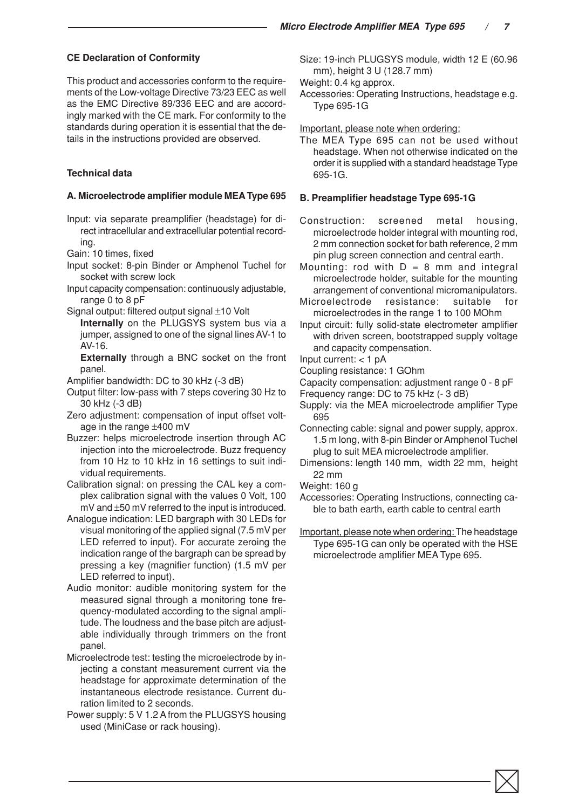## **CE Declaration of Conformity**

This product and accessories conform to the requirements of the Low-voltage Directive 73/23 EEC as well as the EMC Directive 89/336 EEC and are accordingly marked with the CE mark. For conformity to the standards during operation it is essential that the details in the instructions provided are observed.

### **Technical data**

### **A. Microelectrode amplifier module MEA Type 695**

Input: via separate preamplifier (headstage) for direct intracellular and extracellular potential recording.

Gain: 10 times, fixed

- Input socket: 8-pin Binder or Amphenol Tuchel for socket with screw lock
- Input capacity compensation: continuously adjustable, range 0 to 8 pF
- Signal output: filtered output signal ±10 Volt

**Internally** on the PLUGSYS system bus via a jumper, assigned to one of the signal lines AV-1 to AV-16.

**Externally** through a BNC socket on the front panel.

Amplifier bandwidth: DC to 30 kHz (-3 dB)

- Output filter: low-pass with 7 steps covering 30 Hz to 30 kHz (-3 dB)
- Zero adjustment: compensation of input offset voltage in the range ±400 mV
- Buzzer: helps microelectrode insertion through AC injection into the microelectrode. Buzz frequency from 10 Hz to 10 kHz in 16 settings to suit individual requirements.
- Calibration signal: on pressing the CAL key a complex calibration signal with the values 0 Volt, 100 mV and ±50 mV referred to the input is introduced.
- Analogue indication: LED bargraph with 30 LEDs for visual monitoring of the applied signal (7.5 mV per LED referred to input). For accurate zeroing the indication range of the bargraph can be spread by pressing a key (magnifier function) (1.5 mV per LED referred to input).
- Audio monitor: audible monitoring system for the measured signal through a monitoring tone frequency-modulated according to the signal amplitude. The loudness and the base pitch are adjustable individually through trimmers on the front panel.
- Microelectrode test: testing the microelectrode by injecting a constant measurement current via the headstage for approximate determination of the instantaneous electrode resistance. Current duration limited to 2 seconds.
- Power supply: 5 V 1.2 A from the PLUGSYS housing used (MiniCase or rack housing).

Size: 19-inch PLUGSYS module, width 12 E (60.96 mm), height 3 U (128.7 mm)

Weight: 0.4 kg approx.

Accessories: Operating Instructions, headstage e.g. Type 695-1G

Important, please note when ordering:

The MEA Type 695 can not be used without headstage. When not otherwise indicated on the order it is supplied with a standard headstage Type 695-1G.

### **B. Preamplifier headstage Type 695-1G**

Construction: screened metal housing, microelectrode holder integral with mounting rod, 2 mm connection socket for bath reference, 2 mm pin plug screen connection and central earth.

Mounting: rod with  $D = 8$  mm and integral microelectrode holder, suitable for the mounting arrangement of conventional micromanipulators.

- Microelectrode resistance: suitable for microelectrodes in the range 1 to 100 MOhm
- Input circuit: fully solid-state electrometer amplifier with driven screen, bootstrapped supply voltage and capacity compensation.

Input current: < 1 pA

- Coupling resistance: 1 GOhm
- Capacity compensation: adjustment range 0 8 pF
- Frequency range: DC to 75 kHz (- 3 dB)
- Supply: via the MEA microelectrode amplifier Type 695
- Connecting cable: signal and power supply, approx. 1.5 m long, with 8-pin Binder or Amphenol Tuchel plug to suit MEA microelectrode amplifier.
- Dimensions: length 140 mm, width 22 mm, height 22 mm
- Weight: 160 g
- Accessories: Operating Instructions, connecting cable to bath earth, earth cable to central earth
- Important, please note when ordering: The headstage Type 695-1G can only be operated with the HSE microelectrode amplifier MEA Type 695.